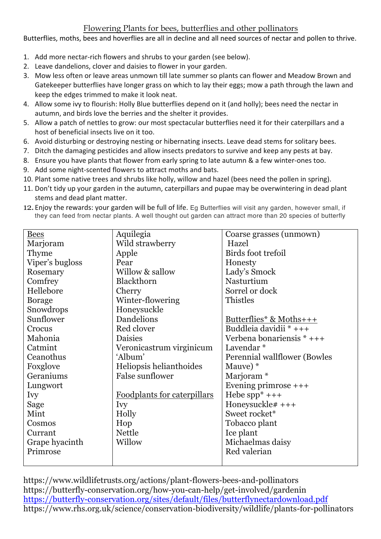## Flowering Plants for bees, butterflies and other pollinators

Butterflies, moths, bees and hoverflies are all in decline and all need sources of nectar and pollen to thrive.

- 1. Add more nectar-rich flowers and shrubs to your garden (see below).
- 2. Leave dandelions, clover and daisies to flower in your garden.
- 3. Mow less often or leave areas unmown till late summer so plants can flower and Meadow Brown and Gatekeeper butterflies have longer grass on which to lay their eggs; mow a path through the lawn and keep the edges trimmed to make it look neat.
- 4. Allow some ivy to flourish: Holly Blue butterflies depend on it (and holly); bees need the nectar in autumn, and birds love the berries and the shelter it provides.
- 5. Allow a patch of nettles to grow: our most spectacular butterflies need it for their caterpillars and a host of beneficial insects live on it too.
- 6. Avoid disturbing or destroying nesting or hibernating insects. Leave dead stems for solitary bees.
- 7. Ditch the damaging pesticides and allow insects predators to survive and keep any pests at bay.
- 8. Ensure you have plants that flower from early spring to late autumn & a few winter-ones too.
- 9. Add some night-scented flowers to attract moths and bats.
- 10. Plant some native trees and shrubs like holly, willow and hazel (bees need the pollen in spring).
- 11. Don't tidy up your garden in the autumn, caterpillars and pupae may be overwintering in dead plant stems and dead plant matter.
- 12. Enjoy the rewards: your garden will be full of life. Eq Butterflies will visit any garden, however small, if they can feed from nectar plants. A well thought out garden can attract more than 20 species of butterfly

| <b>Bees</b>     | Aquilegia                   | Coarse grasses (unmown)             |
|-----------------|-----------------------------|-------------------------------------|
| Marjoram        | Wild strawberry             | Hazel                               |
| Thyme           | Apple                       | Birds foot trefoil                  |
| Viper's bugloss | Pear                        | Honesty                             |
| Rosemary        | Willow & sallow             | Lady's Smock                        |
| Comfrey         | <b>Blackthorn</b>           | Nasturtium                          |
| Hellebore       | Cherry                      | Sorrel or dock                      |
| <b>Borage</b>   | Winter-flowering            | Thistles                            |
| Snowdrops       | Honeysuckle                 |                                     |
| Sunflower       | Dandelions                  | Butterflies* & Moths+++             |
| Crocus          | Red clover                  | Buddleia davidii * +++              |
| Mahonia         | <b>Daisies</b>              | Verbena bonariensis $*$ +++         |
| Catmint         | Veronicastrum virginicum    | Lavendar <sup>*</sup>               |
| Ceanothus       | 'Album'                     | <b>Perennial wallflower (Bowles</b> |
| Foxglove        | Heliopsis helianthoides     | Mauve) *                            |
| Geraniums       | <b>False sunflower</b>      | Marjoram <sup>*</sup>               |
| Lungwort        |                             | Evening primrose $++$               |
| <b>Ivy</b>      | Foodplants for caterpillars | Hebe $spp^*$ +++                    |
| Sage            | Ivy                         | Honeysuckle# +++                    |
| Mint            | Holly                       | Sweet rocket*                       |
| Cosmos          | Hop                         | Tobacco plant                       |
| Currant         | <b>Nettle</b>               | Ice plant                           |
| Grape hyacinth  | Willow                      | Michaelmas daisy                    |
| Primrose        |                             | Red valerian                        |
|                 |                             |                                     |

https://www.wildlifetrusts.org/actions/plant-flowers-bees-and-pollinators https://butterfly-conservation.org/how-you-can-help/get-involved/gardenin https://butterfly-conservation.org/sites/default/files/butterflynectardownload.pdf https://www.rhs.org.uk/science/conservation-biodiversity/wildlife/plants-for-pollinators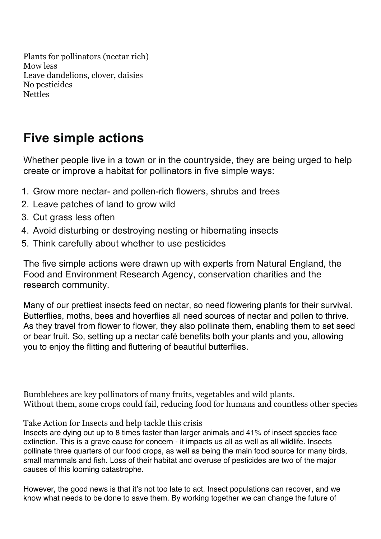Plants for pollinators (nectar rich) Mow less Leave dandelions, clover, daisies No pesticides Nettles

## **Five simple actions**

Whether people live in a town or in the countryside, they are being urged to help create or improve a habitat for pollinators in five simple ways:

- 1. Grow more nectar- and pollen-rich flowers, shrubs and trees
- 2. Leave patches of land to grow wild
- 3. Cut grass less often
- 4. Avoid disturbing or destroying nesting or hibernating insects
- 5. Think carefully about whether to use pesticides

The five simple actions were drawn up with experts from Natural England, the Food and Environment Research Agency, conservation charities and the research community.

Many of our prettiest insects feed on nectar, so need flowering plants for their survival. Butterflies, moths, bees and hoverflies all need sources of nectar and pollen to thrive. As they travel from flower to flower, they also pollinate them, enabling them to set seed or bear fruit. So, setting up a nectar café benefits both your plants and you, allowing you to enjoy the flitting and fluttering of beautiful butterflies.

Bumblebees are key pollinators of many fruits, vegetables and wild plants. Without them, some crops could fail, reducing food for humans and countless other species

Take Action for Insects and help tackle this crisis

Insects are dying out up to 8 times faster than larger animals and 41% of insect species face extinction. This is a grave cause for concern - it impacts us all as well as all wildlife. Insects pollinate three quarters of our food crops, as well as being the main food source for many birds, small mammals and fish. Loss of their habitat and overuse of pesticides are two of the major causes of this looming catastrophe.

However, the good news is that it's not too late to act. Insect populations can recover, and we know what needs to be done to save them. By working together we can change the future of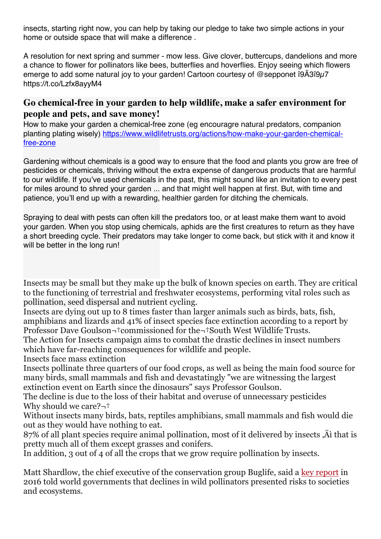insects, starting right now, you can help by taking our pledge to take two simple actions in your home or outside space that will make a difference .

A resolution for next spring and summer - mow less. Give clover, buttercups, dandelions and more a chance to flower for pollinators like bees, butterflies and hoverflies. Enjoy seeing which flowers emerge to add some natural joy to your garden! Cartoon courtesy of @sepponet î9Â3î9u7 https://t.co/Lzfx8ayyM4

## **Go chemical-free in your garden to help wildlife, make a safer environment for people and pets, and save money!**

How to make your garden a chemical-free zone (eg encouragre natural predators, companion planting plating wisely) https://www.wildlifetrusts.org/actions/how-make-your-garden-chemicalfree-zone

Gardening without chemicals is a good way to ensure that the food and plants you grow are free of pesticides or chemicals, thriving without the extra expense of dangerous products that are harmful to our wildlife. If you've used chemicals in the past, this might sound like an invitation to every pest for miles around to shred your garden ... and that might well happen at first. But, with time and patience, you'll end up with a rewarding, healthier garden for ditching the chemicals.

Spraying to deal with pests can often kill the predators too, or at least make them want to avoid your garden. When you stop using chemicals, aphids are the first creatures to return as they have a short breeding cycle. Their predators may take longer to come back, but stick with it and know it will be better in the long run!

Insects may be small but they make up the bulk of known species on earth. They are critical to the functioning of terrestrial and freshwater ecosystems, performing vital roles such as pollination, seed dispersal and nutrient cycling.

Insects are dying out up to 8 times faster than larger animals such as birds, bats, fish, amphibians and lizards and 41% of insect species face extinction according to a report by Professor Dave Goulson $\neg$ †commissioned for the $\neg$ †South West Wildlife Trusts.

The Action for Insects campaign aims to combat the drastic declines in insect numbers which have far-reaching consequences for wildlife and people.

Insects face mass extinction

Insects pollinate three quarters of our food crops, as well as being the main food source for many birds, small mammals and fish and devastatingly "we are witnessing the largest extinction event on Earth since the dinosaurs" says Professor Goulson.

The decline is due to the loss of their habitat and overuse of unnecessary pesticides Why should we care? $\neg$ <sup>+</sup>

Without insects many birds, bats, reptiles amphibians, small mammals and fish would die out as they would have nothing to eat.

87% of all plant species require animal pollination, most of it delivered by insects  $\ddot{A}$  that is pretty much all of them except grasses and conifers.

In addition, 3 out of 4 of all the crops that we grow require pollination by insects.

Matt Shardlow, the chief executive of the conservation group Buglife, said a key report in 2016 told world governments that declines in wild pollinators presented risks to societies and ecosystems.